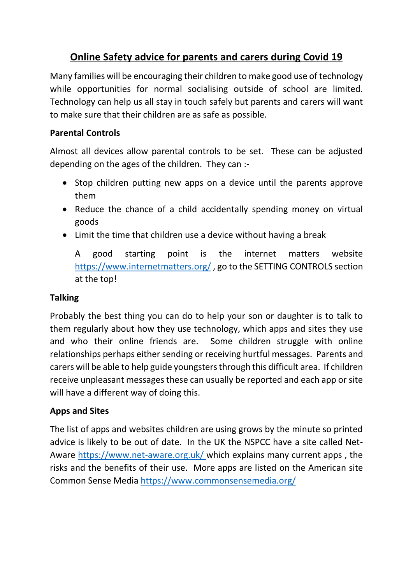# **Online Safety advice for parents and carers during Covid 19**

Many families will be encouraging their children to make good use of technology while opportunities for normal socialising outside of school are limited. Technology can help us all stay in touch safely but parents and carers will want to make sure that their children are as safe as possible.

## **Parental Controls**

Almost all devices allow parental controls to be set. These can be adjusted depending on the ages of the children. They can :-

- Stop children putting new apps on a device until the parents approve them
- Reduce the chance of a child accidentally spending money on virtual goods
- Limit the time that children use a device without having a break

A good starting point is the internet matters website <https://www.internetmatters.org/>, go to the SETTING CONTROLS section at the top!

### **Talking**

Probably the best thing you can do to help your son or daughter is to talk to them regularly about how they use technology, which apps and sites they use and who their online friends are. Some children struggle with online relationships perhaps either sending or receiving hurtful messages. Parents and carers will be able to help guide youngsters through this difficult area. If children receive unpleasant messages these can usually be reported and each app or site will have a different way of doing this.

### **Apps and Sites**

The list of apps and websites children are using grows by the minute so printed advice is likely to be out of date. In the UK the NSPCC have a site called Net-Aware<https://www.net-aware.org.uk/> which explains many current apps , the risks and the benefits of their use. More apps are listed on the American site Common Sense Media <https://www.commonsensemedia.org/>